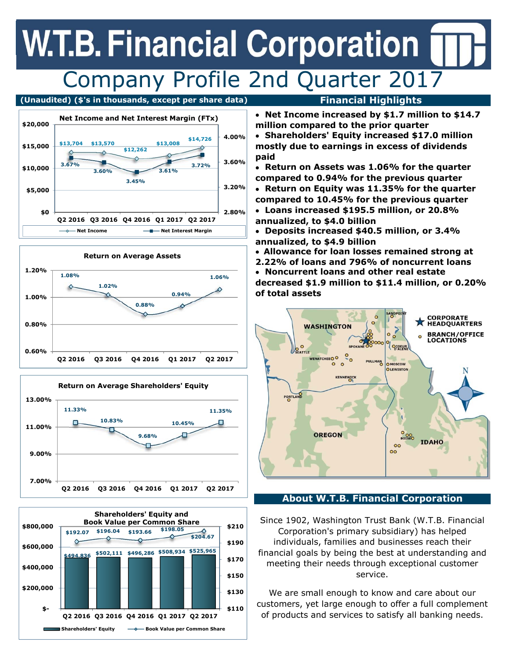## **W.T.B. Financial Corporation** Company Profile 2nd Quarter 2017

### **(Unaudited) (\$'s in thousands, except per share data) Financial Highlights**









- **Net Income increased by \$1.7 million to \$14.7 million compared to the prior quarter**
- **Shareholders' Equity increased \$17.0 million mostly due to earnings in excess of dividends paid**
- **Return on Assets was 1.06% for the quarter compared to 0.94% for the previous quarter**
- **Return on Equity was 11.35% for the quarter compared to 10.45% for the previous quarter**
- **Loans increased \$195.5 million, or 20.8% annualized, to \$4.0 billion**
- **Deposits increased \$40.5 million, or 3.4% annualized, to \$4.9 billion**
- **Allowance for loan losses remained strong at**
- **2.22% of loans and 796% of noncurrent loans Noncurrent loans and other real estate decreased \$1.9 million to \$11.4 million, or 0.20% of total assets**



### **About W.T.B. Financial Corporation**

Since 1902, Washington Trust Bank (W.T.B. Financial Corporation's primary subsidiary) has helped individuals, families and businesses reach their financial goals by being the best at understanding and meeting their needs through exceptional customer service.

We are small enough to know and care about our customers, yet large enough to offer a full complement of products and services to satisfy all banking needs.